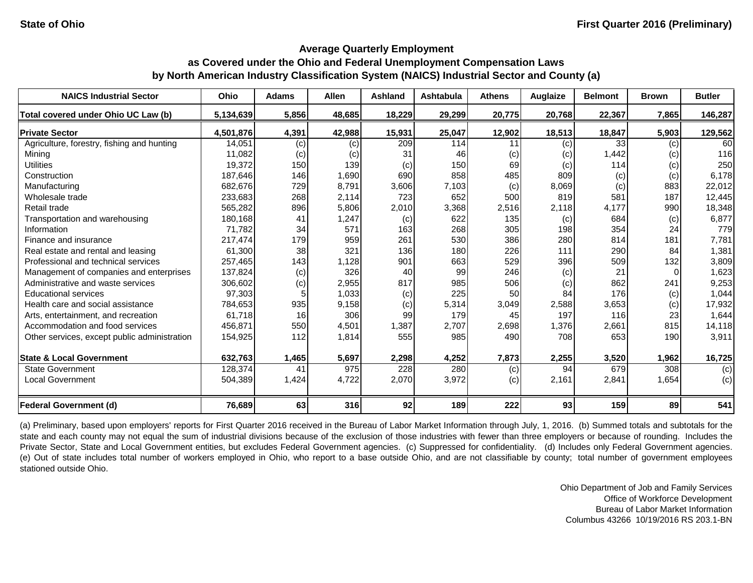| <b>NAICS Industrial Sector</b>               | Ohio      | <b>Adams</b> | <b>Allen</b> | <b>Ashland</b> | <b>Ashtabula</b> | <b>Athens</b> | Auglaize | <b>Belmont</b> | <b>Brown</b> | <b>Butler</b> |
|----------------------------------------------|-----------|--------------|--------------|----------------|------------------|---------------|----------|----------------|--------------|---------------|
| Total covered under Ohio UC Law (b)          | 5,134,639 | 5,856        | 48,685       | 18,229         | 29,299           | 20,775        | 20,768   | 22,367         | 7,865        | 146,287       |
| <b>Private Sector</b>                        | 4,501,876 | 4,391        | 42,988       | 15,931         | 25,047           | 12,902        | 18,513   | 18,847         | 5,903        | 129,562       |
| Agriculture, forestry, fishing and hunting   | 14,051    | (c)          | (c)          | 209            | 114              | 11            | (c)      | 33             | (c)          | 60            |
| Mining                                       | 11,082    | (c)          | (c)          | 31             | 46               | (c)           | (c)      | 1,442          | (c)          | 116           |
| <b>Utilities</b>                             | 19,372    | 150          | 139          | (c)            | 150              | 69            | (c)      | 114            | (c)          | 250           |
| Construction                                 | 187,646   | 146          | 1,690        | 690            | 858              | 485           | 809      | (c)            | (c)          | 6,178         |
| Manufacturing                                | 682,676   | 729          | 8,791        | 3,606          | 7,103            | (c)           | 8,069    | (c)            | 883          | 22,012        |
| Wholesale trade                              | 233,683   | 268          | 2,114        | 723            | 652              | 500           | 819      | 581            | 187          | 12,445        |
| Retail trade                                 | 565,282   | 896          | 5,806        | 2,010          | 3,368            | 2,516         | 2,118    | 4,177          | 990          | 18,348        |
| Transportation and warehousing               | 180,168   | 41           | 1,247        | (c)            | 622              | 135           | (c)      | 684            | (c)          | 6,877         |
| Information                                  | 71,782    | 34           | 571          | 163            | 268              | 305           | 198      | 354            | 24           | 779           |
| Finance and insurance                        | 217,474   | 179          | 959          | 261            | 530              | 386           | 280      | 814            | 181          | 7,781         |
| Real estate and rental and leasing           | 61,300    | 38           | 321          | 136            | 180              | 226           | 111      | 290            | 84           | 1,381         |
| Professional and technical services          | 257,465   | 143          | 1,128        | 901            | 663              | 529           | 396      | 509            | 132          | 3,809         |
| Management of companies and enterprises      | 137,824   | (c)          | 326          | 40             | 99               | 246           | (c)      | 21             |              | 1,623         |
| Administrative and waste services            | 306,602   | (c)          | 2,955        | 817            | 985              | 506           | (c)      | 862            | 241          | 9,253         |
| <b>Educational services</b>                  | 97,303    |              | 1,033        | (c)            | 225              | 50            | 84       | 176            | (c)          | 1,044         |
| Health care and social assistance            | 784,653   | 935          | 9,158        | (c)            | 5,314            | 3,049         | 2,588    | 3,653          | (c)          | 17,932        |
| Arts, entertainment, and recreation          | 61,718    | 16           | 306          | 99             | 179              | 45            | 197      | 116            | 23           | 1,644         |
| Accommodation and food services              | 456,871   | 550          | 4,501        | 1,387          | 2,707            | 2,698         | 1,376    | 2,661          | 815          | 14,118        |
| Other services, except public administration | 154,925   | 112          | 1,814        | 555            | 985              | 490           | 708      | 653            | 190          | 3,911         |
| <b>State &amp; Local Government</b>          | 632,763   | 1,465        | 5,697        | 2,298          | 4,252            | 7,873         | 2,255    | 3,520          | 1,962        | 16,725        |
| <b>State Government</b>                      | 128,374   | 41           | 975          | 228            | 280              | (c)           | 94       | 679            | 308          | (c)           |
| <b>Local Government</b>                      | 504,389   | 1,424        | 4,722        | 2,070          | 3,972            | (c)           | 2,161    | 2,841          | 1,654        | (c)           |
| <b>Federal Government (d)</b>                | 76,689    | 63           | 316          | 92             | 189              | 222           | 93       | 159            | 89           | 541           |

(a) Preliminary, based upon employers' reports for First Quarter 2016 received in the Bureau of Labor Market Information through July, 1, 2016. (b) Summed totals and subtotals for the state and each county may not equal the sum of industrial divisions because of the exclusion of those industries with fewer than three employers or because of rounding. Includes the Private Sector, State and Local Government entities, but excludes Federal Government agencies. (c) Suppressed for confidentiality. (d) Includes only Federal Government agencies. (e) Out of state includes total number of workers employed in Ohio, who report to a base outside Ohio, and are not classifiable by county; total number of government employees stationed outside Ohio.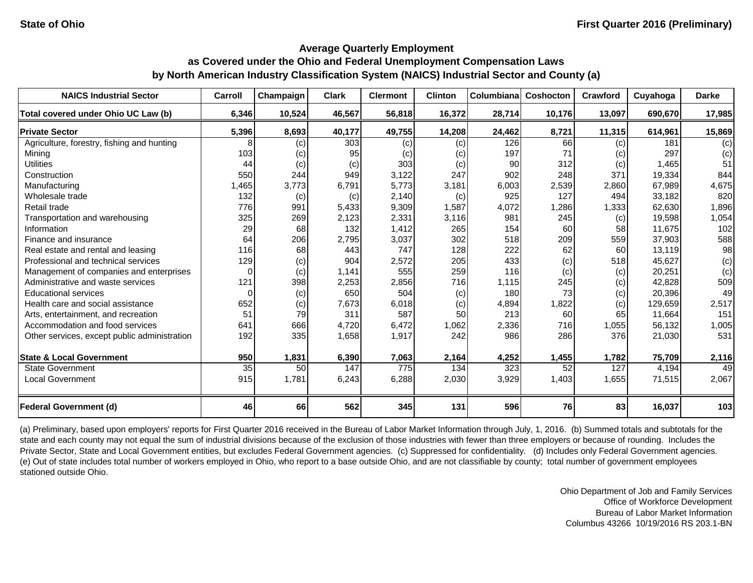| <b>NAICS Industrial Sector</b>               | Carroll  | Champaign | <b>Clark</b> | <b>Clermont</b> | <b>Clinton</b> | Columbiana | Coshocton | Crawford | Cuyahoga | <b>Darke</b> |
|----------------------------------------------|----------|-----------|--------------|-----------------|----------------|------------|-----------|----------|----------|--------------|
| Total covered under Ohio UC Law (b)          | 6,346    | 10,524    | 46,567       | 56,818          | 16,372         | 28,714     | 10,176    | 13,097   | 690,670  | 17,985       |
| <b>Private Sector</b>                        | 5,396    | 8,693     | 40,177       | 49,755          | 14,208         | 24,462     | 8,721     | 11,315   | 614,961  | 15,869       |
| Agriculture, forestry, fishing and hunting   |          | $\left( $ | 303          | (c)             | (c)            | 126        | 66        | (c)      | 181      | (c)          |
| Mining                                       | 103      | (c)       | 95           | (c)             | (c)            | 197        | 71        | (c)      | 297      | (c)          |
| <b>Utilities</b>                             | 44       | (c)       | (c)          | 303             | (c)            | 90         | 312       | (c)      | 1,465    | 51           |
| Construction                                 | 550      | 244       | 949          | 3,122           | 247            | 902        | 248       | 371      | 19,334   | 844          |
| Manufacturing                                | 1,465    | 3,773     | 6,791        | 5,773           | 3,181          | 6,003      | 2,539     | 2,860    | 67,989   | 4,675        |
| Wholesale trade                              | 132      | (c)       | (c)          | 2,140           | (c)            | 925        | 127       | 494      | 33,182   | 820          |
| Retail trade                                 | 776      | 991       | 5,433        | 9,309           | 1,587          | 4,072      | 1,286     | 1,333    | 62,630   | 1,896        |
| Transportation and warehousing               | 325      | 269       | 2,123        | 2,331           | 3,116          | 981        | 245       | (c)      | 19,598   | 1,054        |
| Information                                  | 29       | 68        | 132          | 1,412           | 265            | 154        | 60        | 58       | 11,675   | 102          |
| Finance and insurance                        | 64       | 206       | 2,795        | 3,037           | 302            | 518        | 209       | 559      | 37,903   | 588          |
| Real estate and rental and leasing           | 116      | 68        | 443          | 747             | 128            | 222        | 62        | 60       | 13,119   | 98           |
| Professional and technical services          | 129      | (c)       | 904          | 2,572           | 205            | 433        | (c)       | 518      | 45,627   | (c)          |
| Management of companies and enterprises      | $\Omega$ | (c)       | 1,141        | 555             | 259            | 116        | (c)       | (c)      | 20,251   | (c)          |
| Administrative and waste services            | 121      | 398       | 2,253        | 2,856           | 716            | 1,115      | 245       | (c)      | 42,828   | 509          |
| <b>Educational services</b>                  | $\Omega$ | (c)       | 650          | 504             | (c)            | 180        | 73        | (c)      | 20.396   | 49           |
| Health care and social assistance            | 652      | (c)       | 7,673        | 6,018           | (c)            | 4,894      | 1,822     | (c)      | 129,659  | 2,517        |
| Arts, entertainment, and recreation          | 51       | 79        | 311          | 587             | 50             | 213        | 60        | 65       | 11,664   | 151          |
| Accommodation and food services              | 641      | 666       | 4,720        | 6,472           | 1,062          | 2,336      | 716       | 1,055    | 56,132   | 1,005        |
| Other services, except public administration | 192      | 335       | 1,658        | 1,917           | 242            | 986        | 286       | 376      | 21,030   | 531          |
| <b>State &amp; Local Government</b>          | 950      | 1,831     | 6,390        | 7,063           | 2,164          | 4,252      | 1,455     | 1,782    | 75,709   | 2,116        |
| <b>State Government</b>                      | 35       | 50        | 147          | 775             | 134            | 323        | 52        | 127      | 4,194    | 49           |
| <b>Local Government</b>                      | 915      | 1,781     | 6,243        | 6,288           | 2,030          | 3,929      | 1,403     | 1,655    | 71,515   | 2,067        |
|                                              |          |           |              |                 |                |            |           |          |          |              |
| <b>Federal Government (d)</b>                | 46       | 66        | 562          | 345             | 131            | 596        | 76        | 83       | 16,037   | 103          |

(a) Preliminary, based upon employers' reports for First Quarter 2016 received in the Bureau of Labor Market Information through July, 1, 2016. (b) Summed totals and subtotals for the state and each county may not equal the sum of industrial divisions because of the exclusion of those industries with fewer than three employers or because of rounding. Includes the Private Sector, State and Local Government entities, but excludes Federal Government agencies. (c) Suppressed for confidentiality. (d) Includes only Federal Government agencies. (e) Out of state includes total number of workers employed in Ohio, who report to a base outside Ohio, and are not classifiable by county; total number of government employees stationed outside Ohio.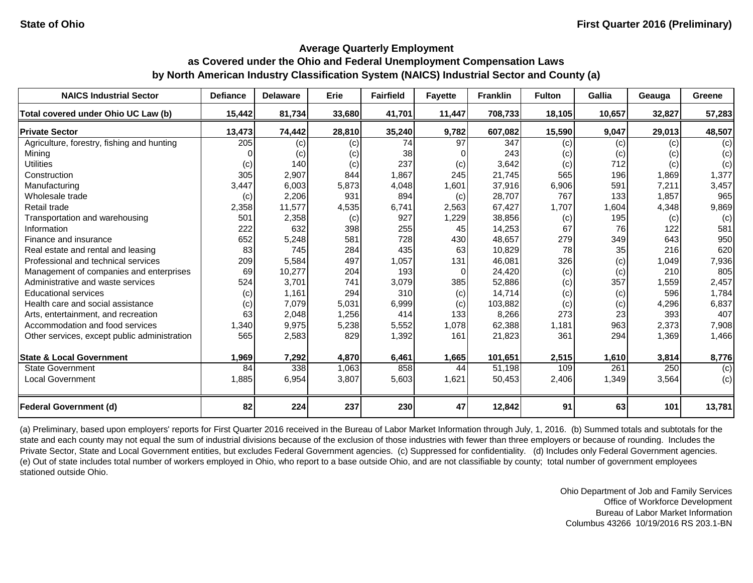| <b>NAICS Industrial Sector</b>               | <b>Defiance</b> | <b>Delaware</b> | Erie   | <b>Fairfield</b> | <b>Fayette</b> | <b>Franklin</b> | <b>Fulton</b> | <b>Gallia</b> | Geauga | <b>Greene</b> |
|----------------------------------------------|-----------------|-----------------|--------|------------------|----------------|-----------------|---------------|---------------|--------|---------------|
| Total covered under Ohio UC Law (b)          | 15,442          | 81,734          | 33,680 | 41,701           | 11,447         | 708,733         | 18,105        | 10,657        | 32,827 | 57,283        |
| <b>Private Sector</b>                        | 13,473          | 74,442          | 28,810 | 35,240           | 9,782          | 607,082         | 15,590        | 9,047         | 29,013 | 48,507        |
| Agriculture, forestry, fishing and hunting   | 205             | (c)             | (c)    | 74               | 97             | 347             | (c)           | (c)           | (c)    | (c)           |
| Mining                                       |                 | (c)             | (c)    | 38               |                | 243             | (c)           | (c)           | (c)    | (c)           |
| <b>Utilities</b>                             | (c)             | 140             | (c)    | 237              | (c)            | 3,642           | (c)           | 712           | (c)    | (c)           |
| Construction                                 | 305             | 2,907           | 844    | 1,867            | 245            | 21,745          | 565           | 196           | 1,869  | 1,377         |
| Manufacturing                                | 3,447           | 6,003           | 5,873  | 4,048            | 1,601          | 37,916          | 6,906         | 591           | 7,211  | 3,457         |
| Wholesale trade                              | (c)             | 2,206           | 931    | 894              | (c)            | 28,707          | 767           | 133           | 1,857  | 965           |
| Retail trade                                 | 2,358           | 11,577          | 4,535  | 6,741            | 2,563          | 67,427          | 1,707         | 1,604         | 4,348  | 9,869         |
| Transportation and warehousing               | 501             | 2,358           | (c)    | 927              | 1,229          | 38,856          | (c)           | 195           | (c)    | (c)           |
| Information                                  | 222             | 632             | 398    | 255              | 45             | 14,253          | 67            | 76            | 122    | 581           |
| Finance and insurance                        | 652             | 5,248           | 581    | 728              | 430            | 48,657          | 279           | 349           | 643    | 950           |
| Real estate and rental and leasing           | 83              | 745             | 284    | 435              | 63             | 10,829          | 78            | 35            | 216    | 620           |
| Professional and technical services          | 209             | 5,584           | 497    | 1,057            | 131            | 46,081          | 326           | (c)           | 1,049  | 7,936         |
| Management of companies and enterprises      | 69              | 10,277          | 204    | 193              | 0              | 24,420          | (c)           | (c)           | 210    | 805           |
| Administrative and waste services            | 524             | 3,701           | 741    | 3,079            | 385            | 52,886          | (c)           | 357           | 1,559  | 2,457         |
| <b>Educational services</b>                  | (c)             | 1,161           | 294    | 310              | (c)            | 14,714          | (c)           | (c)           | 596    | 1,784         |
| Health care and social assistance            | (c)             | 7,079           | 5,031  | 6,999            | (c)            | 103,882         | (c)           | (c)           | 4,296  | 6,837         |
| Arts, entertainment, and recreation          | 63              | 2,048           | 1,256  | 414              | 133            | 8,266           | 273           | 23            | 393    | 407           |
| Accommodation and food services              | 1,340           | 9,975           | 5,238  | 5,552            | 1,078          | 62,388          | 1,181         | 963           | 2,373  | 7,908         |
| Other services, except public administration | 565             | 2,583           | 829    | 1,392            | 161            | 21,823          | 361           | 294           | 1,369  | 1,466         |
| <b>State &amp; Local Government</b>          | 1,969           | 7,292           | 4,870  | 6,461            | 1,665          | 101,651         | 2,515         | 1,610         | 3,814  | 8,776         |
| <b>State Government</b>                      | 84              | 338             | 1,063  | 858              | 44             | 51,198          | 109           | 261           | 250    | (c)           |
| <b>Local Government</b>                      | 1,885           | 6,954           | 3,807  | 5,603            | 1,621          | 50,453          | 2,406         | 1,349         | 3,564  | (c)           |
| <b>Federal Government (d)</b>                | 82              | 224             | 237    | 230              | 47             | 12,842          | 91            | 63            | 101    | 13,781        |

(a) Preliminary, based upon employers' reports for First Quarter 2016 received in the Bureau of Labor Market Information through July, 1, 2016. (b) Summed totals and subtotals for the state and each county may not equal the sum of industrial divisions because of the exclusion of those industries with fewer than three employers or because of rounding. Includes the Private Sector, State and Local Government entities, but excludes Federal Government agencies. (c) Suppressed for confidentiality. (d) Includes only Federal Government agencies. (e) Out of state includes total number of workers employed in Ohio, who report to a base outside Ohio, and are not classifiable by county; total number of government employees stationed outside Ohio.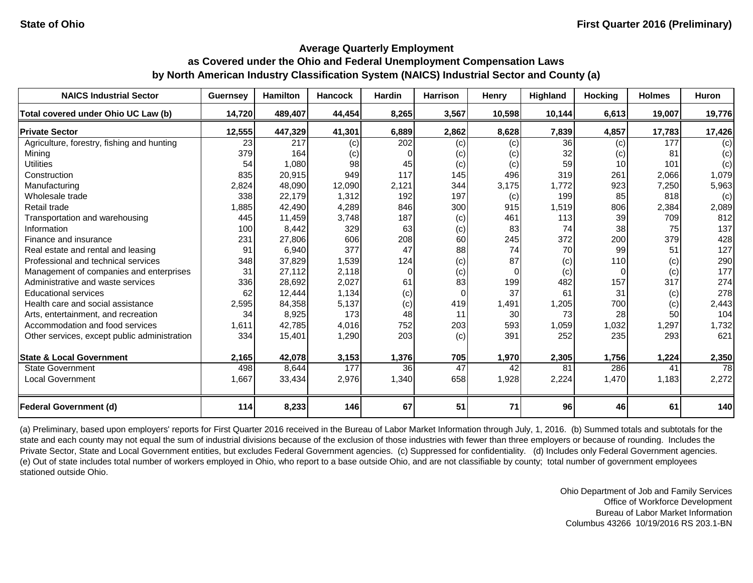| <b>NAICS Industrial Sector</b>               | <b>Guernsey</b> | <b>Hamilton</b> | <b>Hancock</b> | <b>Hardin</b> | <b>Harrison</b> | Henry    | Highland        | <b>Hocking</b> | <b>Holmes</b> | Huron  |
|----------------------------------------------|-----------------|-----------------|----------------|---------------|-----------------|----------|-----------------|----------------|---------------|--------|
| Total covered under Ohio UC Law (b)          | 14,720          | 489,407         | 44,454         | 8,265         | 3,567           | 10,598   | 10,144          | 6,613          | 19,007        | 19,776 |
| <b>Private Sector</b>                        | 12,555          | 447,329         | 41,301         | 6,889         | 2,862           | 8,628    | 7,839           | 4,857          | 17,783        | 17,426 |
| Agriculture, forestry, fishing and hunting   | 23              | 217             | (c)            | 202           | (c)             | (c)      | $\overline{36}$ | (c)            | 177           | (c)    |
| Mining                                       | 379             | 164             | (c)            | 0             | (c)             | (c)      | 32              | (c)            | 81            | (c)    |
| <b>Utilities</b>                             | 54              | 1,080           | 98             | 45            | (c)             | (c)      | 59              | 10             | 101           | (c)    |
| Construction                                 | 835             | 20,915          | 949            | 117           | 145             | 496      | 319             | 261            | 2,066         | 1,079  |
| Manufacturing                                | 2,824           | 48,090          | 12,090         | 2,121         | 344             | 3,175    | 1,772           | 923            | 7,250         | 5,963  |
| Wholesale trade                              | 338             | 22,179          | 1,312          | 192           | 197             | (c)      | 199             | 85             | 818           | (c)    |
| Retail trade                                 | 1,885           | 42,490          | 4,289          | 846           | 300             | 915      | 1,519           | 806            | 2,384         | 2,089  |
| Transportation and warehousing               | 445             | 11,459          | 3,748          | 187           | (c)             | 461      | 113             | 39             | 709           | 812    |
| Information                                  | 100             | 8,442           | 329            | 63            | (c)             | 83       | 74              | 38             | 75            | 137    |
| Finance and insurance                        | 231             | 27,806          | 606            | 208           | 60              | 245      | 372             | 200            | 379           | 428    |
| Real estate and rental and leasing           | 91              | 6,940           | 377            | 47            | 88              | 74       | 70              | 99             | 51            | 127    |
| Professional and technical services          | 348             | 37,829          | 1,539          | 124           | (c)             | 87       | (c)             | 110            | (c)           | 290    |
| Management of companies and enterprises      | 31              | 27,112          | 2,118          | $\Omega$      | (c)             | $\Omega$ | (c)             | $\Omega$       | (c)           | 177    |
| Administrative and waste services            | 336             | 28,692          | 2,027          | 61            | 83              | 199      | 482             | 157            | 317           | 274    |
| <b>Educational services</b>                  | 62              | 12,444          | 1,134          | (c)           | 0               | 37       | 61              | 31             | (c)           | 278    |
| Health care and social assistance            | 2,595           | 84,358          | 5,137          | (c)           | 419             | 1,491    | 1,205           | 700            | (c)           | 2,443  |
| Arts, entertainment, and recreation          | 34              | 8,925           | 173            | 48            | 11              | 30       | 73              | 28             | 50            | 104    |
| Accommodation and food services              | 1,611           | 42,785          | 4,016          | 752           | 203             | 593      | 1,059           | 1,032          | 1,297         | 1,732  |
| Other services, except public administration | 334             | 15,401          | 1,290          | 203           | (c)             | 391      | 252             | 235            | 293           | 621    |
| <b>State &amp; Local Government</b>          | 2,165           | 42,078          | 3,153          | 1,376         | 705             | 1,970    | 2,305           | 1,756          | 1,224         | 2,350  |
| <b>State Government</b>                      | 498             | 8,644           | 177            | 36            | 47              | 42       | 81              | 286            | 41            | 78     |
| <b>Local Government</b>                      | 1,667           | 33,434          | 2,976          | 1,340         | 658             | 1,928    | 2,224           | 1,470          | 1,183         | 2,272  |
| <b>Federal Government (d)</b>                | 114             | 8,233           | 146            | 67            | 51              | 71       | 96              | 46             | 61            | 140    |

(a) Preliminary, based upon employers' reports for First Quarter 2016 received in the Bureau of Labor Market Information through July, 1, 2016. (b) Summed totals and subtotals for the state and each county may not equal the sum of industrial divisions because of the exclusion of those industries with fewer than three employers or because of rounding. Includes the Private Sector, State and Local Government entities, but excludes Federal Government agencies. (c) Suppressed for confidentiality. (d) Includes only Federal Government agencies. (e) Out of state includes total number of workers employed in Ohio, who report to a base outside Ohio, and are not classifiable by county; total number of government employees stationed outside Ohio.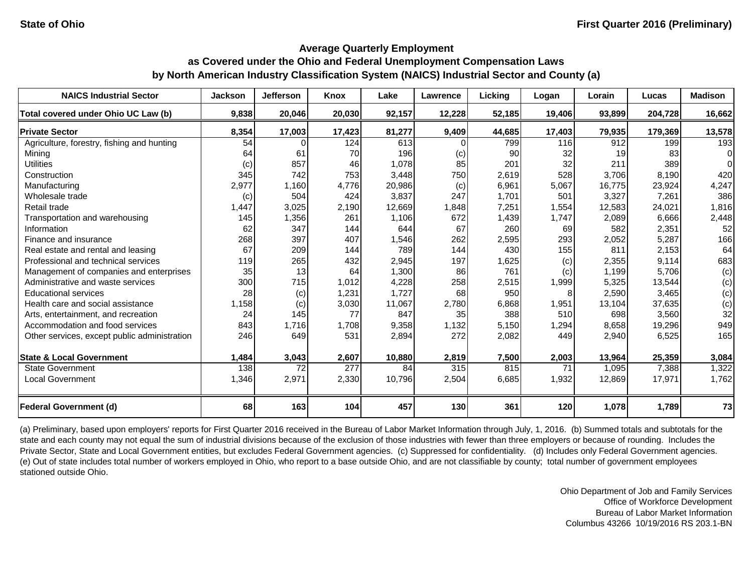| <b>NAICS Industrial Sector</b>               | <b>Jackson</b> | <b>Jefferson</b> | Knox   | Lake   | Lawrence | Licking | Logan  | Lorain | Lucas   | <b>Madison</b> |
|----------------------------------------------|----------------|------------------|--------|--------|----------|---------|--------|--------|---------|----------------|
| Total covered under Ohio UC Law (b)          | 9,838          | 20,046           | 20,030 | 92,157 | 12,228   | 52,185  | 19,406 | 93,899 | 204,728 | 16,662         |
| <b>Private Sector</b>                        | 8,354          | 17,003           | 17,423 | 81,277 | 9,409    | 44,685  | 17,403 | 79,935 | 179,369 | 13,578         |
| Agriculture, forestry, fishing and hunting   | 54             |                  | 124    | 613    |          | 799     | 116    | 912    | 199     | 193            |
| Mining                                       | 64             | 61               | 70     | 196    | (c)      | 90      | 32     | 19     | 83      | $\Omega$       |
| <b>Utilities</b>                             | (c)            | 857              | 46     | 1,078  | 85       | 201     | 32     | 211    | 389     | $\Omega$       |
| Construction                                 | 345            | 742              | 753    | 3,448  | 750      | 2,619   | 528    | 3,706  | 8,190   | 420            |
| Manufacturing                                | 2,977          | 1,160            | 4,776  | 20,986 | (c)      | 6,961   | 5,067  | 16,775 | 23,924  | 4,247          |
| Wholesale trade                              | (c)            | 504              | 424    | 3,837  | 247      | 1,701   | 501    | 3,327  | 7,261   | 386            |
| Retail trade                                 | ,447           | 3,025            | 2,190  | 12,669 | 1,848    | 7,251   | 1,554  | 12,583 | 24,021  | 1,816          |
| Transportation and warehousing               | 145            | 1,356            | 261    | 1,106  | 672      | 1,439   | 1,747  | 2,089  | 6,666   | 2,448          |
| Information                                  | 62             | 347              | 144    | 644    | 67       | 260     | 69     | 582    | 2,351   | 52             |
| Finance and insurance                        | 268            | 397              | 407    | 1,546  | 262      | 2,595   | 293    | 2,052  | 5,287   | 166            |
| Real estate and rental and leasing           | 67             | 209              | 144    | 789    | 144      | 430     | 155    | 811    | 2,153   | 64             |
| Professional and technical services          | 119            | 265              | 432    | 2,945  | 197      | 1,625   | (c)    | 2,355  | 9,114   | 683            |
| Management of companies and enterprises      | 35             | 13               | 64     | 1,300  | 86       | 761     | (c)    | 1,199  | 5,706   | (c)            |
| Administrative and waste services            | 300            | 715              | 1,012  | 4,228  | 258      | 2,515   | 1,999  | 5,325  | 13,544  | (c)            |
| <b>Educational services</b>                  | 28             | (c)              | 1,231  | 1,727  | 68       | 950     | 8      | 2,590  | 3,465   | (c)            |
| Health care and social assistance            | 1,158          | (c)              | 3,030  | 11,067 | 2,780    | 6,868   | 1,951  | 13,104 | 37,635  | (c)            |
| Arts, entertainment, and recreation          | 24             | 145              | 77     | 847    | 35       | 388     | 510    | 698    | 3,560   | 32             |
| Accommodation and food services              | 843            | 1,716            | 1,708  | 9,358  | 1,132    | 5,150   | 1,294  | 8,658  | 19,296  | 949            |
| Other services, except public administration | 246            | 649              | 531    | 2,894  | 272      | 2,082   | 449    | 2,940  | 6,525   | 165            |
| <b>State &amp; Local Government</b>          | 1,484          | 3,043            | 2,607  | 10,880 | 2,819    | 7,500   | 2,003  | 13,964 | 25,359  | 3,084          |
| <b>State Government</b>                      | 138            | 72               | 277    | 84     | 315      | 815     | 71     | 1,095  | 7,388   | 1,322          |
| <b>Local Government</b>                      | 1,346          | 2,971            | 2,330  | 10,796 | 2,504    | 6,685   | 1,932  | 12,869 | 17,971  | 1,762          |
| <b>Federal Government (d)</b>                | 68             | 163              | 104    | 457    | 130      | 361     | 120    | 1,078  | 1,789   | 73             |

(a) Preliminary, based upon employers' reports for First Quarter 2016 received in the Bureau of Labor Market Information through July, 1, 2016. (b) Summed totals and subtotals for the state and each county may not equal the sum of industrial divisions because of the exclusion of those industries with fewer than three employers or because of rounding. Includes the Private Sector, State and Local Government entities, but excludes Federal Government agencies. (c) Suppressed for confidentiality. (d) Includes only Federal Government agencies. (e) Out of state includes total number of workers employed in Ohio, who report to a base outside Ohio, and are not classifiable by county; total number of government employees stationed outside Ohio.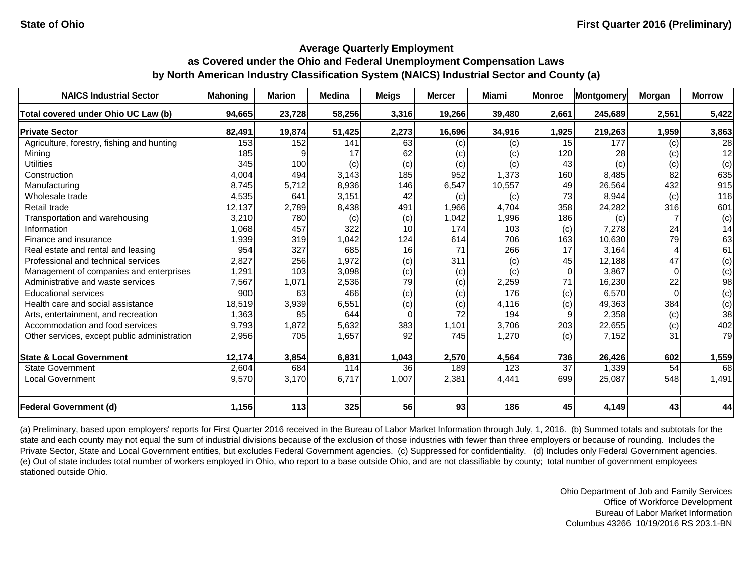| <b>NAICS Industrial Sector</b>               | <b>Mahoning</b> | <b>Marion</b> | <b>Medina</b> | <b>Meigs</b> | <b>Mercer</b> | <b>Miami</b> | <b>Monroe</b>   | <b>Montgomery</b> | Morgan   | <b>Morrow</b> |
|----------------------------------------------|-----------------|---------------|---------------|--------------|---------------|--------------|-----------------|-------------------|----------|---------------|
| Total covered under Ohio UC Law (b)          | 94,665          | 23,728        | 58,256        | 3,316        | 19,266        | 39,480       | 2,661           | 245,689           | 2,561    | 5,422         |
| <b>Private Sector</b>                        | 82,491          | 19,874        | 51,425        | 2,273        | 16,696        | 34,916       | 1,925           | 219,263           | 1,959    | 3,863         |
| Agriculture, forestry, fishing and hunting   | 153             | 152           | 141           | 63           | (c)           | (c)          | 15              | 177               | (c)      | 28            |
| Mining                                       | 185             |               | 17            | 62           | (c)           | (c)          | 120             | 28                | (c)      | 12            |
| <b>Utilities</b>                             | 345             | 100           | (c)           | (c)          | (c)           | (c)          | 43              | (c)               | (c)      | (c)           |
| Construction                                 | 4,004           | 494           | 3,143         | 185          | 952           | 1,373        | 160             | 8,485             | 82       | 635           |
| Manufacturing                                | 8,745           | 5,712         | 8,936         | 146          | 6,547         | 10,557       | 49              | 26,564            | 432      | 915           |
| Wholesale trade                              | 4,535           | 641           | 3,151         | 42           | (c)           | (c)          | 73              | 8,944             | (c)      | 116           |
| Retail trade                                 | 12,137          | 2,789         | 8,438         | 491          | 1,966         | 4,704        | 358             | 24,282            | 316      | 601           |
| Transportation and warehousing               | 3,210           | 780           | (c)           | (c)          | 1,042         | 1,996        | 186             | (c)               |          | (c)           |
| Information                                  | 1,068           | 457           | 322           | 10           | 174           | 103          | (c)             | 7,278             | 24       | 14            |
| Finance and insurance                        | 1,939           | 319           | 1,042         | 124          | 614           | 706          | 163             | 10,630            | 79       | 63            |
| Real estate and rental and leasing           | 954             | 327           | 685           | 16           | 71            | 266          | 17              | 3,164             |          | 61            |
| Professional and technical services          | 2,827           | 256           | 1,972         | (c)          | 311           | (c)          | 45              | 12,188            | 47       | (c)           |
| Management of companies and enterprises      | 1,291           | 103           | 3,098         | (c)          | (c)           | (c)          | $\Omega$        | 3,867             |          | (c)           |
| Administrative and waste services            | 7,567           | 1,071         | 2,536         | 79           | (c)           | 2,259        | 71              | 16,230            | 22       | 98            |
| <b>Educational services</b>                  | 900             | 63            | 466           | (c)          | (c)           | 176          | (c)             | 6,570             | $\Omega$ | (c)           |
| Health care and social assistance            | 18,519          | 3,939         | 6,551         | (c)          | (c)           | 4,116        | (c)             | 49,363            | 384      | (c)           |
| Arts, entertainment, and recreation          | 1,363           | 85            | 644           | $\Omega$     | 72            | 194          | 9               | 2,358             | (c)      | 38            |
| Accommodation and food services              | 9,793           | 1,872         | 5,632         | 383          | 1,101         | 3,706        | 203             | 22,655            | (c)      | 402           |
| Other services, except public administration | 2,956           | 705           | 1,657         | 92           | 745           | 1,270        | (c)             | 7,152             | 31       | 79            |
|                                              |                 |               |               |              |               |              |                 |                   |          |               |
| <b>State &amp; Local Government</b>          | 12,174          | 3,854         | 6,831         | 1,043        | 2,570         | 4,564        | 736             | 26,426            | 602      | 1,559         |
| <b>State Government</b>                      | 2,604           | 684           | 114           | 36           | 189           | 123          | $\overline{37}$ | 1,339             | 54       | 68            |
| <b>Local Government</b>                      | 9,570           | 3,170         | 6,717         | 1,007        | 2,381         | 4,441        | 699             | 25,087            | 548      | 1,491         |
| <b>Federal Government (d)</b>                | 1,156           | 113           | 325           | 56           | 93            | 186          | 45              | 4,149             | 43       | 44            |

(a) Preliminary, based upon employers' reports for First Quarter 2016 received in the Bureau of Labor Market Information through July, 1, 2016. (b) Summed totals and subtotals for the state and each county may not equal the sum of industrial divisions because of the exclusion of those industries with fewer than three employers or because of rounding. Includes the Private Sector, State and Local Government entities, but excludes Federal Government agencies. (c) Suppressed for confidentiality. (d) Includes only Federal Government agencies. (e) Out of state includes total number of workers employed in Ohio, who report to a base outside Ohio, and are not classifiable by county; total number of government employees stationed outside Ohio.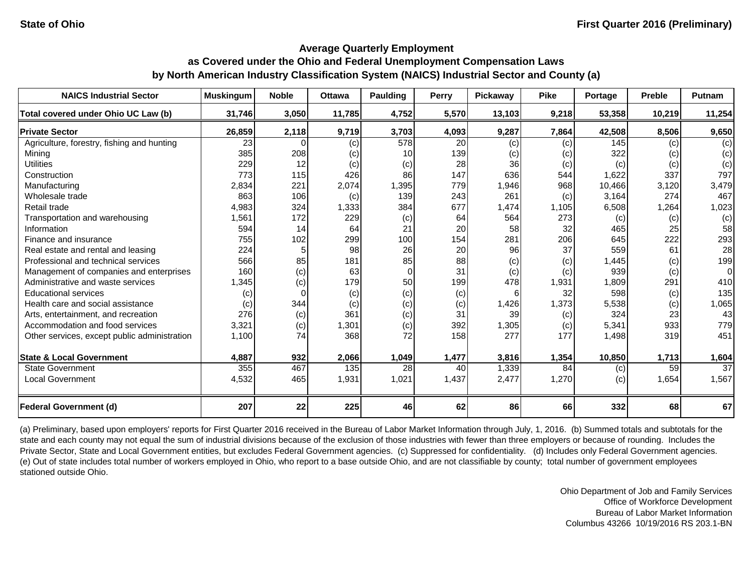| <b>NAICS Industrial Sector</b>               | <b>Muskingum</b> | <b>Noble</b> | <b>Ottawa</b> | <b>Paulding</b> | Perry           | Pickaway | <b>Pike</b> | Portage | <b>Preble</b> | <b>Putnam</b>   |
|----------------------------------------------|------------------|--------------|---------------|-----------------|-----------------|----------|-------------|---------|---------------|-----------------|
| Total covered under Ohio UC Law (b)          | 31,746           | 3,050        | 11,785        | 4,752           | 5,570           | 13,103   | 9,218       | 53,358  | 10,219        | 11,254          |
| <b>Private Sector</b>                        | 26,859           | 2,118        | 9,719         | 3,703           | 4,093           | 9,287    | 7,864       | 42,508  | 8,506         | 9,650           |
| Agriculture, forestry, fishing and hunting   | 23               |              | (c)           | 578             | $\overline{20}$ | (c)      | (c)         | 145     | (c)           | (c)             |
| Mining                                       | 385              | 208          | (c)           | 10              | 139             | (c)      | (c)         | 322     | (c)           | (c)             |
| <b>Utilities</b>                             | 229              | 12           | (c)           | (c)             | 28              | 36       | (c)         | (c)     | (c)           | (c)             |
| Construction                                 | 773              | 115          | 426           | 86              | 147             | 636      | 544         | 1,622   | 337           | 797             |
| Manufacturing                                | 2,834            | 221          | 2,074         | 1,395           | 779             | 1,946    | 968         | 10,466  | 3,120         | 3,479           |
| Wholesale trade                              | 863              | 106          | (c)           | 139             | 243             | 261      | (c)         | 3,164   | 274           | 467             |
| Retail trade                                 | 4,983            | 324          | 1,333         | 384             | 677             | 1,474    | 1,105       | 6,508   | 1,264         | 1,023           |
| Transportation and warehousing               | 1,561            | 172          | 229           | (c)             | 64              | 564      | 273         | (c)     | (c)           | (c)             |
| Information                                  | 594              | 14           | 64            | 21              | 20              | 58       | 32          | 465     | 25            | 58              |
| Finance and insurance                        | 755              | 102          | 299           | 100             | 154             | 281      | 206         | 645     | 222           | 293             |
| Real estate and rental and leasing           | 224              |              | 98            | 26              | 20              | 96       | 37          | 559     | 61            | 28              |
| Professional and technical services          | 566              | 85           | 181           | 85              | 88              | (c)      | (c)         | 1,445   | (c)           | 199             |
| Management of companies and enterprises      | 160              | (c)          | 63            | $\mathbf 0$     | 31              | (c)      | (c)         | 939     | (c)           | $\Omega$        |
| Administrative and waste services            | 1,345            | (c)          | 179           | 50              | 199             | 478      | 1,931       | 1,809   | 291           | 410             |
| <b>Educational services</b>                  | (c)              |              | (c)           | (c)             | (c)             | 6        | 32          | 598     | (c)           | 135             |
| Health care and social assistance            | (c)              | 344          | (c)           | (c)             | (c)             | 1,426    | 1,373       | 5,538   | (c)           | 1,065           |
| Arts, entertainment, and recreation          | 276              | (c)          | 361           | (c)             | 31              | 39       | (c)         | 324     | 23            | 43              |
| Accommodation and food services              | 3,321            | (c)          | 1,301         | (c)             | 392             | 1,305    | (c)         | 5,341   | 933           | 779             |
| Other services, except public administration | 1,100            | 74           | 368           | 72              | 158             | 277      | 177         | 1,498   | 319           | 451             |
| <b>State &amp; Local Government</b>          | 4,887            | 932          | 2,066         | 1,049           | 1,477           | 3,816    | 1,354       | 10,850  | 1,713         | 1,604           |
| <b>State Government</b>                      | 355              | 467          | 135           | 28              | 40              | 1,339    | 84          | (c)     | 59            | $\overline{37}$ |
| <b>Local Government</b>                      | 4,532            | 465          | 1,931         | 1,021           | 1,437           | 2,477    | 1,270       | (c)     | 1,654         | 1,567           |
| <b>Federal Government (d)</b>                | 207              | 22           | 225           | 46              | 62              | 86       | 66          | 332     | 68            | 67              |

(a) Preliminary, based upon employers' reports for First Quarter 2016 received in the Bureau of Labor Market Information through July, 1, 2016. (b) Summed totals and subtotals for the state and each county may not equal the sum of industrial divisions because of the exclusion of those industries with fewer than three employers or because of rounding. Includes the Private Sector, State and Local Government entities, but excludes Federal Government agencies. (c) Suppressed for confidentiality. (d) Includes only Federal Government agencies. (e) Out of state includes total number of workers employed in Ohio, who report to a base outside Ohio, and are not classifiable by county; total number of government employees stationed outside Ohio.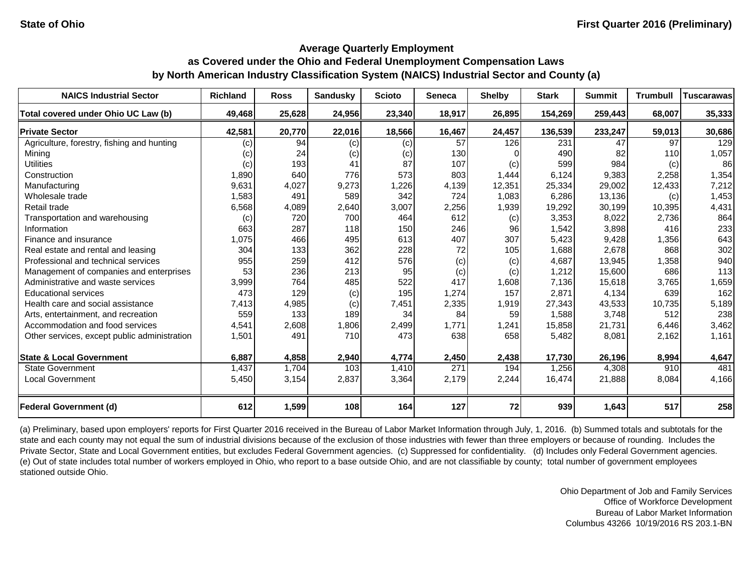| <b>NAICS Industrial Sector</b>               | <b>Richland</b> | <b>Ross</b> | <b>Sandusky</b> | <b>Scioto</b> | Seneca | <b>Shelby</b> | <b>Stark</b> | <b>Summit</b> | <b>Trumbull</b> | <b>Tuscarawas</b> |
|----------------------------------------------|-----------------|-------------|-----------------|---------------|--------|---------------|--------------|---------------|-----------------|-------------------|
| Total covered under Ohio UC Law (b)          | 49,468          | 25,628      | 24,956          | 23,340        | 18,917 | 26,895        | 154,269      | 259,443       | 68,007          | 35,333            |
| <b>Private Sector</b>                        | 42,581          | 20,770      | 22,016          | 18,566        | 16,467 | 24,457        | 136,539      | 233,247       | 59,013          | 30,686            |
| Agriculture, forestry, fishing and hunting   | (c)             | 94          | (c)             | (c)           | 57     | 126           | 231          | 47            | 97              | 129               |
| Mining                                       | (c)             | 24          | (c)             | (c)           | 130    |               | 490          | 82            | 110             | 1,057             |
| <b>Utilities</b>                             | (c)             | 193         | 41              | 87            | 107    | (c)           | 599          | 984           | (c)             | 86                |
| Construction                                 | 1,890           | 640         | 776             | 573           | 803    | 1,444         | 6,124        | 9,383         | 2,258           | 1,354             |
| Manufacturing                                | 9,631           | 4,027       | 9,273           | 1,226         | 4,139  | 12,351        | 25,334       | 29,002        | 12,433          | 7,212             |
| Wholesale trade                              | 1,583           | 491         | 589             | 342           | 724    | 1,083         | 6,286        | 13,136        | (c)             | 1,453             |
| Retail trade                                 | 6,568           | 4,089       | 2,640           | 3,007         | 2,256  | 1,939         | 19,292       | 30,199        | 10,395          | 4,431             |
| Transportation and warehousing               | (c)             | 720         | 700             | 464           | 612    | (c)           | 3,353        | 8,022         | 2,736           | 864               |
| Information                                  | 663             | 287         | 118             | 150           | 246    | 96            | 1,542        | 3,898         | 416             | 233               |
| Finance and insurance                        | 1,075           | 466         | 495             | 613           | 407    | 307           | 5,423        | 9,428         | 1,356           | 643               |
| Real estate and rental and leasing           | 304             | 133         | 362             | 228           | 72     | 105           | 1,688        | 2,678         | 868             | 302               |
| Professional and technical services          | 955             | 259         | 412             | 576           | (c)    | (c)           | 4,687        | 13,945        | 1,358           | 940               |
| Management of companies and enterprises      | 53              | 236         | 213             | 95            | (c)    | (c)           | 1,212        | 15,600        | 686             | 113               |
| Administrative and waste services            | 3,999           | 764         | 485             | 522           | 417    | 1,608         | 7,136        | 15,618        | 3,765           | 1,659             |
| <b>Educational services</b>                  | 473             | 129         | (c)             | 195           | 1,274  | 157           | 2,871        | 4,134         | 639             | 162               |
| Health care and social assistance            | 7,413           | 4,985       | (c)             | 7,451         | 2,335  | 1,919         | 27,343       | 43,533        | 10,735          | 5,189             |
| Arts, entertainment, and recreation          | 559             | 133         | 189             | 34            | 84     | 59            | 1,588        | 3,748         | 512             | 238               |
| Accommodation and food services              | 4,541           | 2,608       | 1,806           | 2,499         | 1,771  | 1,241         | 15,858       | 21,731        | 6,446           | 3,462             |
| Other services, except public administration | 1,501           | 491         | 710             | 473           | 638    | 658           | 5,482        | 8,081         | 2,162           | 1,161             |
| <b>State &amp; Local Government</b>          | 6,887           | 4,858       | 2,940           | 4,774         | 2,450  | 2,438         | 17,730       | 26,196        | 8,994           | 4,647             |
| <b>State Government</b>                      | 1,437           | 1,704       | 103             | 1,410         | 271    | 194           | 1,256        | 4,308         | 910             | 481               |
| <b>Local Government</b>                      | 5,450           | 3,154       | 2,837           | 3,364         | 2,179  | 2,244         | 16,474       | 21,888        | 8,084           | 4,166             |
| <b>Federal Government (d)</b>                | 612             | 1,599       | 108             | 164           | 127    | 72            | 939          | 1,643         | 517             | 258               |

(a) Preliminary, based upon employers' reports for First Quarter 2016 received in the Bureau of Labor Market Information through July, 1, 2016. (b) Summed totals and subtotals for the state and each county may not equal the sum of industrial divisions because of the exclusion of those industries with fewer than three employers or because of rounding. Includes the Private Sector, State and Local Government entities, but excludes Federal Government agencies. (c) Suppressed for confidentiality. (d) Includes only Federal Government agencies. (e) Out of state includes total number of workers employed in Ohio, who report to a base outside Ohio, and are not classifiable by county; total number of government employees stationed outside Ohio.